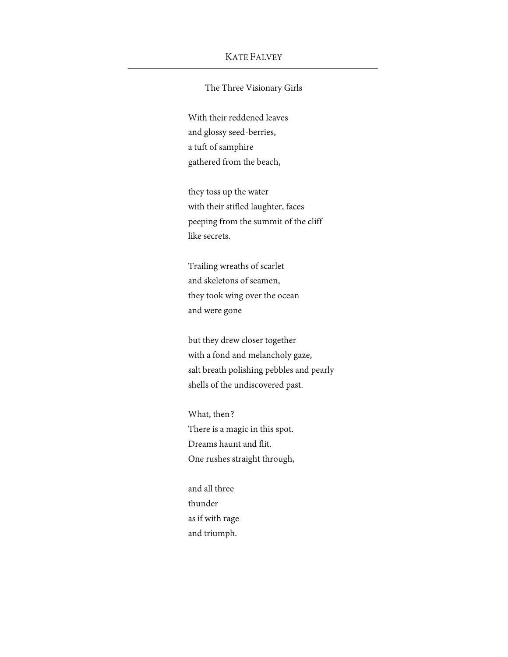## KATE FALVEY

## The Three Visionary Girls

With their reddened leaves and glossy seed-berries, a tuft of samphire gathered from the beach,

they toss up the water with their stifled laughter, faces peeping from the summit of the cliff like secrets.

Trailing wreaths of scarlet and skeletons of seamen, they took wing over the ocean and were gone

but they drew closer together with a fond and melancholy gaze, salt breath polishing pebbles and pearly shells of the undiscovered past.

What, then? There is a magic in this spot. Dreams haunt and flit. One rushes straight through,

and all three thunder as if with rage and triumph.